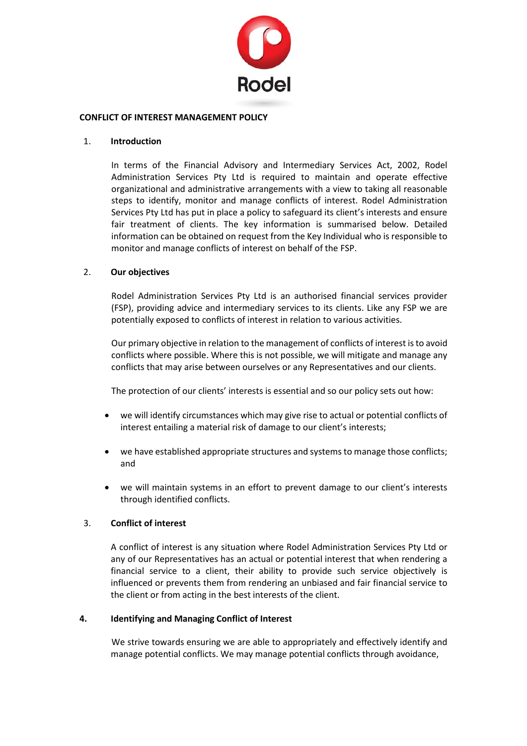

### **CONFLICT OF INTEREST MANAGEMENT POLICY**

### 1. **Introduction**

In terms of the Financial Advisory and Intermediary Services Act, 2002, Rodel Administration Services Pty Ltd is required to maintain and operate effective organizational and administrative arrangements with a view to taking all reasonable steps to identify, monitor and manage conflicts of interest. Rodel Administration Services Pty Ltd has put in place a policy to safeguard its client's interests and ensure fair treatment of clients. The key information is summarised below. Detailed information can be obtained on request from the Key Individual who is responsible to monitor and manage conflicts of interest on behalf of the FSP.

### 2. **Our objectives**

Rodel Administration Services Pty Ltd is an authorised financial services provider (FSP), providing advice and intermediary services to its clients. Like any FSP we are potentially exposed to conflicts of interest in relation to various activities.

Our primary objective in relation to the management of conflicts of interest is to avoid conflicts where possible. Where this is not possible, we will mitigate and manage any conflicts that may arise between ourselves or any Representatives and our clients.

The protection of our clients' interests is essential and so our policy sets out how:

- we will identify circumstances which may give rise to actual or potential conflicts of interest entailing a material risk of damage to our client's interests;
- we have established appropriate structures and systems to manage those conflicts; and
- we will maintain systems in an effort to prevent damage to our client's interests through identified conflicts.

### 3. **Conflict of interest**

A conflict of interest is any situation where Rodel Administration Services Pty Ltd or any of our Representatives has an actual or potential interest that when rendering a financial service to a client, their ability to provide such service objectively is influenced or prevents them from rendering an unbiased and fair financial service to the client or from acting in the best interests of the client.

### **4. Identifying and Managing Conflict of Interest**

We strive towards ensuring we are able to appropriately and effectively identify and manage potential conflicts. We may manage potential conflicts through avoidance,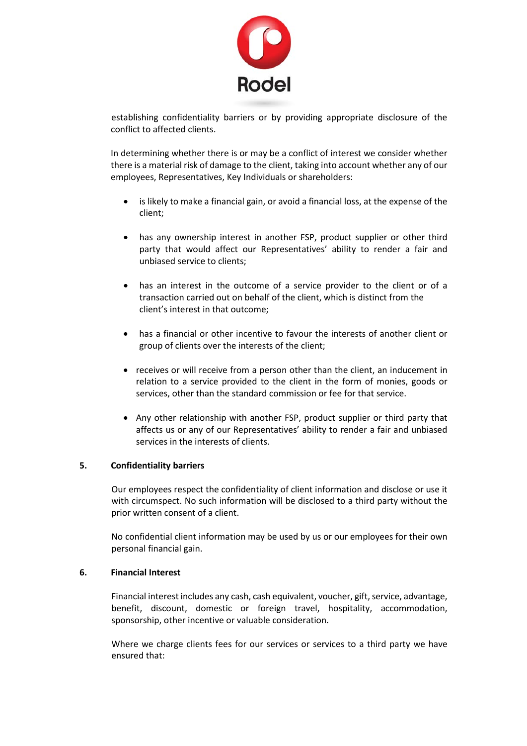

establishing confidentiality barriers or by providing appropriate disclosure of the conflict to affected clients.

In determining whether there is or may be a conflict of interest we consider whether there is a material risk of damage to the client, taking into account whether any of our employees, Representatives, Key Individuals or shareholders:

- is likely to make a financial gain, or avoid a financial loss, at the expense of the client;
- has any ownership interest in another FSP, product supplier or other third party that would affect our Representatives' ability to render a fair and unbiased service to clients;
- has an interest in the outcome of a service provider to the client or of a transaction carried out on behalf of the client, which is distinct from the client's interest in that outcome;
- has a financial or other incentive to favour the interests of another client or group of clients over the interests of the client;
- receives or will receive from a person other than the client, an inducement in relation to a service provided to the client in the form of monies, goods or services, other than the standard commission or fee for that service.
- Any other relationship with another FSP, product supplier or third party that affects us or any of our Representatives' ability to render a fair and unbiased services in the interests of clients.

### **5. Confidentiality barriers**

Our employees respect the confidentiality of client information and disclose or use it with circumspect. No such information will be disclosed to a third party without the prior written consent of a client.

No confidential client information may be used by us or our employees for their own personal financial gain.

### **6. Financial Interest**

Financial interest includes any cash, cash equivalent, voucher, gift, service, advantage, benefit, discount, domestic or foreign travel, hospitality, accommodation, sponsorship, other incentive or valuable consideration.

Where we charge clients fees for our services or services to a third party we have ensured that: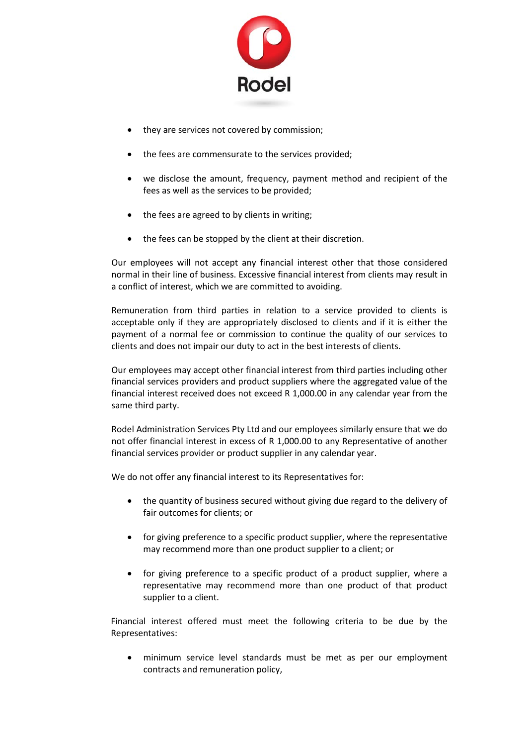

- they are services not covered by commission;
- the fees are commensurate to the services provided;
- we disclose the amount, frequency, payment method and recipient of the fees as well as the services to be provided;
- the fees are agreed to by clients in writing;
- the fees can be stopped by the client at their discretion.

Our employees will not accept any financial interest other that those considered normal in their line of business. Excessive financial interest from clients may result in a conflict of interest, which we are committed to avoiding.

Remuneration from third parties in relation to a service provided to clients is acceptable only if they are appropriately disclosed to clients and if it is either the payment of a normal fee or commission to continue the quality of our services to clients and does not impair our duty to act in the best interests of clients.

Our employees may accept other financial interest from third parties including other financial services providers and product suppliers where the aggregated value of the financial interest received does not exceed R 1,000.00 in any calendar year from the same third party.

Rodel Administration Services Pty Ltd and our employees similarly ensure that we do not offer financial interest in excess of R 1,000.00 to any Representative of another financial services provider or product supplier in any calendar year.

We do not offer any financial interest to its Representatives for:

- the quantity of business secured without giving due regard to the delivery of fair outcomes for clients; or
- for giving preference to a specific product supplier, where the representative may recommend more than one product supplier to a client; or
- for giving preference to a specific product of a product supplier, where a representative may recommend more than one product of that product supplier to a client.

Financial interest offered must meet the following criteria to be due by the Representatives:

• minimum service level standards must be met as per our employment contracts and remuneration policy,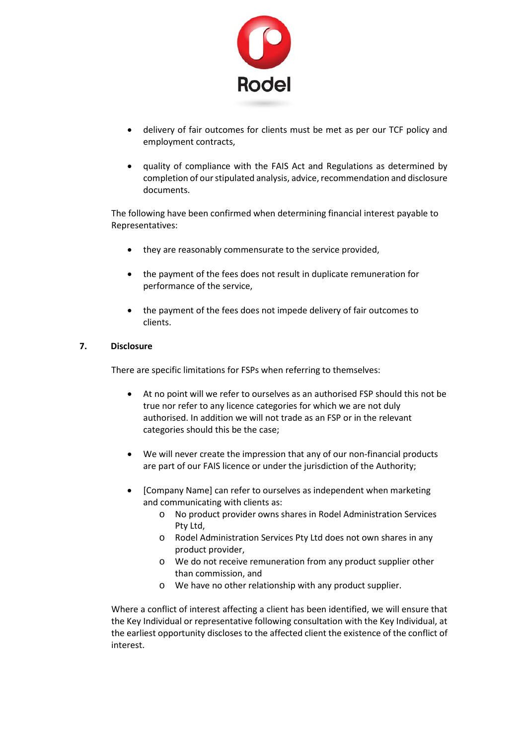

- delivery of fair outcomes for clients must be met as per our TCF policy and employment contracts,
- quality of compliance with the FAIS Act and Regulations as determined by completion of our stipulated analysis, advice, recommendation and disclosure documents.

The following have been confirmed when determining financial interest payable to Representatives:

- they are reasonably commensurate to the service provided,
- the payment of the fees does not result in duplicate remuneration for performance of the service,
- the payment of the fees does not impede delivery of fair outcomes to clients.

## **7. Disclosure**

There are specific limitations for FSPs when referring to themselves:

- At no point will we refer to ourselves as an authorised FSP should this not be true nor refer to any licence categories for which we are not duly authorised. In addition we will not trade as an FSP or in the relevant categories should this be the case;
- We will never create the impression that any of our non-financial products are part of our FAIS licence or under the jurisdiction of the Authority;
- [Company Name] can refer to ourselves as independent when marketing and communicating with clients as:
	- o No product provider owns shares in Rodel Administration Services Pty Ltd,
	- o Rodel Administration Services Pty Ltd does not own shares in any product provider,
	- o We do not receive remuneration from any product supplier other than commission, and
	- o We have no other relationship with any product supplier.

Where a conflict of interest affecting a client has been identified, we will ensure that the Key Individual or representative following consultation with the Key Individual, at the earliest opportunity discloses to the affected client the existence of the conflict of interest.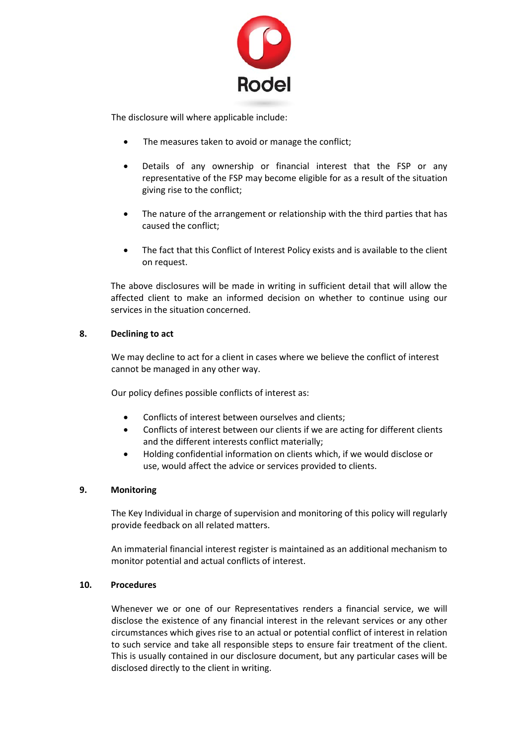

The disclosure will where applicable include:

- The measures taken to avoid or manage the conflict;
- Details of any ownership or financial interest that the FSP or any representative of the FSP may become eligible for as a result of the situation giving rise to the conflict;
- The nature of the arrangement or relationship with the third parties that has caused the conflict;
- The fact that this Conflict of Interest Policy exists and is available to the client on request.

The above disclosures will be made in writing in sufficient detail that will allow the affected client to make an informed decision on whether to continue using our services in the situation concerned.

# **8. Declining to act**

We may decline to act for a client in cases where we believe the conflict of interest cannot be managed in any other way.

Our policy defines possible conflicts of interest as:

- Conflicts of interest between ourselves and clients;
- Conflicts of interest between our clients if we are acting for different clients and the different interests conflict materially;
- Holding confidential information on clients which, if we would disclose or use, would affect the advice or services provided to clients.

### **9. Monitoring**

The Key Individual in charge of supervision and monitoring of this policy will regularly provide feedback on all related matters.

An immaterial financial interest register is maintained as an additional mechanism to monitor potential and actual conflicts of interest.

### **10. Procedures**

Whenever we or one of our Representatives renders a financial service, we will disclose the existence of any financial interest in the relevant services or any other circumstances which gives rise to an actual or potential conflict of interest in relation to such service and take all responsible steps to ensure fair treatment of the client. This is usually contained in our disclosure document, but any particular cases will be disclosed directly to the client in writing.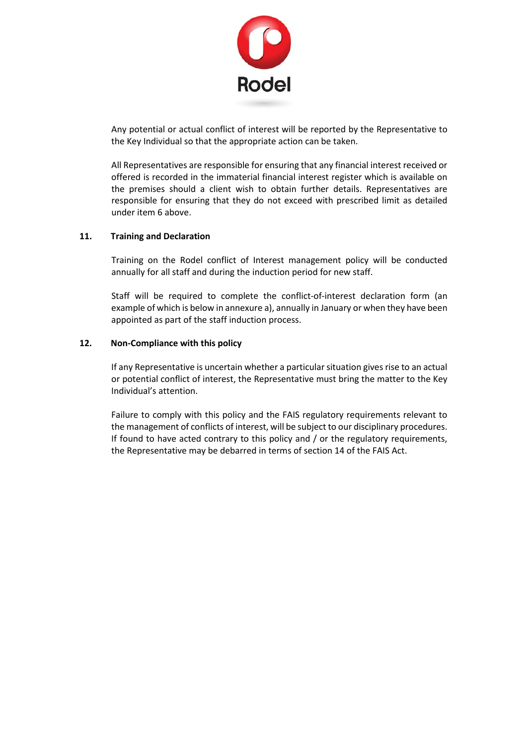

Any potential or actual conflict of interest will be reported by the Representative to the Key Individual so that the appropriate action can be taken.

All Representatives are responsible for ensuring that any financial interest received or offered is recorded in the immaterial financial interest register which is available on the premises should a client wish to obtain further details. Representatives are responsible for ensuring that they do not exceed with prescribed limit as detailed under item 6 above.

## **11. Training and Declaration**

Training on the Rodel conflict of Interest management policy will be conducted annually for all staff and during the induction period for new staff.

Staff will be required to complete the conflict-of-interest declaration form (an example of which is below in annexure a), annually in January or when they have been appointed as part of the staff induction process.

## **12. Non-Compliance with this policy**

If any Representative is uncertain whether a particular situation gives rise to an actual or potential conflict of interest, the Representative must bring the matter to the Key Individual's attention.

Failure to comply with this policy and the FAIS regulatory requirements relevant to the management of conflicts of interest, will be subject to our disciplinary procedures. If found to have acted contrary to this policy and / or the regulatory requirements, the Representative may be debarred in terms of section 14 of the FAIS Act.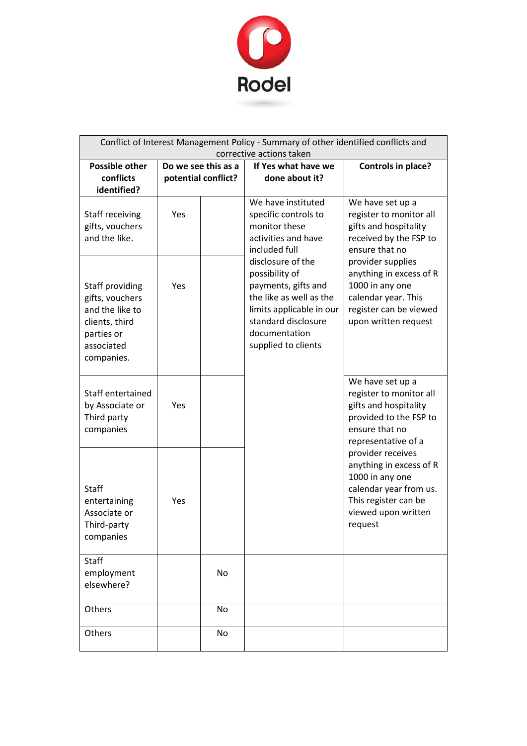

| Conflict of Interest Management Policy - Summary of other identified conflicts and<br>corrective actions taken    |     |                                            |                                                                                                                                                                                  |                                                                                                                                                     |
|-------------------------------------------------------------------------------------------------------------------|-----|--------------------------------------------|----------------------------------------------------------------------------------------------------------------------------------------------------------------------------------|-----------------------------------------------------------------------------------------------------------------------------------------------------|
| <b>Possible other</b><br>conflicts<br>identified?                                                                 |     | Do we see this as a<br>potential conflict? | If Yes what have we<br>done about it?                                                                                                                                            | <b>Controls in place?</b>                                                                                                                           |
| Staff receiving<br>gifts, vouchers<br>and the like.                                                               | Yes |                                            | We have instituted<br>specific controls to<br>monitor these<br>activities and have<br>included full                                                                              | We have set up a<br>register to monitor all<br>gifts and hospitality<br>received by the FSP to<br>ensure that no                                    |
| Staff providing<br>gifts, vouchers<br>and the like to<br>clients, third<br>parties or<br>associated<br>companies. | Yes |                                            | disclosure of the<br>possibility of<br>payments, gifts and<br>the like as well as the<br>limits applicable in our<br>standard disclosure<br>documentation<br>supplied to clients | provider supplies<br>anything in excess of R<br>1000 in any one<br>calendar year. This<br>register can be viewed<br>upon written request            |
| Staff entertained<br>by Associate or<br>Third party<br>companies                                                  | Yes |                                            |                                                                                                                                                                                  | We have set up a<br>register to monitor all<br>gifts and hospitality<br>provided to the FSP to<br>ensure that no<br>representative of a             |
| Staff<br>entertaining<br>Associate or<br>Third-party<br>companies                                                 | Yes |                                            |                                                                                                                                                                                  | provider receives<br>anything in excess of R<br>1000 in any one<br>calendar year from us.<br>This register can be<br>viewed upon written<br>request |
| Staff<br>employment<br>elsewhere?                                                                                 |     | No                                         |                                                                                                                                                                                  |                                                                                                                                                     |
| Others                                                                                                            |     | <b>No</b>                                  |                                                                                                                                                                                  |                                                                                                                                                     |
| Others                                                                                                            |     | No                                         |                                                                                                                                                                                  |                                                                                                                                                     |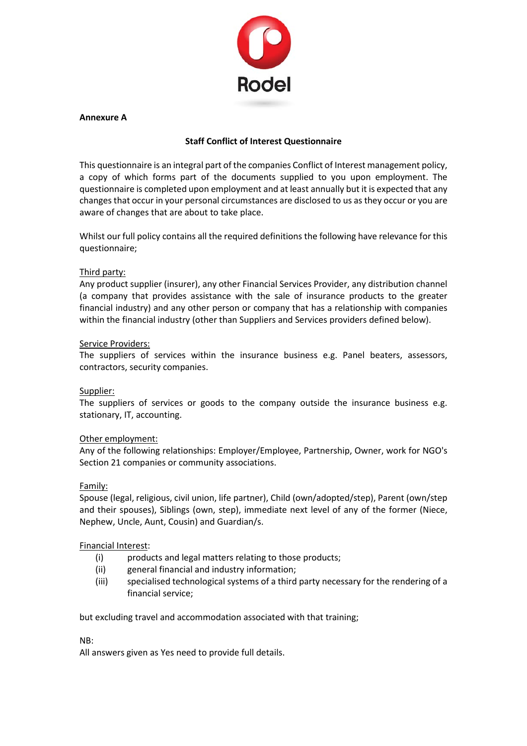

## **Annexure A**

## **Staff Conflict of Interest Questionnaire**

This questionnaire is an integral part of the companies Conflict of Interest management policy, a copy of which forms part of the documents supplied to you upon employment. The questionnaire is completed upon employment and at least annually but it is expected that any changes that occur in your personal circumstances are disclosed to us as they occur or you are aware of changes that are about to take place.

Whilst our full policy contains all the required definitions the following have relevance for this questionnaire;

## Third party:

Any product supplier (insurer), any other Financial Services Provider, any distribution channel (a company that provides assistance with the sale of insurance products to the greater financial industry) and any other person or company that has a relationship with companies within the financial industry (other than Suppliers and Services providers defined below).

## Service Providers:

The suppliers of services within the insurance business e.g. Panel beaters, assessors, contractors, security companies.

### Supplier:

The suppliers of services or goods to the company outside the insurance business e.g. stationary, IT, accounting.

### Other employment:

Any of the following relationships: Employer/Employee, Partnership, Owner, work for NGO's Section 21 companies or community associations.

### Family:

Spouse (legal, religious, civil union, life partner), Child (own/adopted/step), Parent (own/step and their spouses), Siblings (own, step), immediate next level of any of the former (Niece, Nephew, Uncle, Aunt, Cousin) and Guardian/s.

### Financial Interest:

- (i) products and legal matters relating to those products;
- (ii) general financial and industry information;
- (iii) specialised technological systems of a third party necessary for the rendering of a financial service;

but excluding travel and accommodation associated with that training;

### NB:

All answers given as Yes need to provide full details.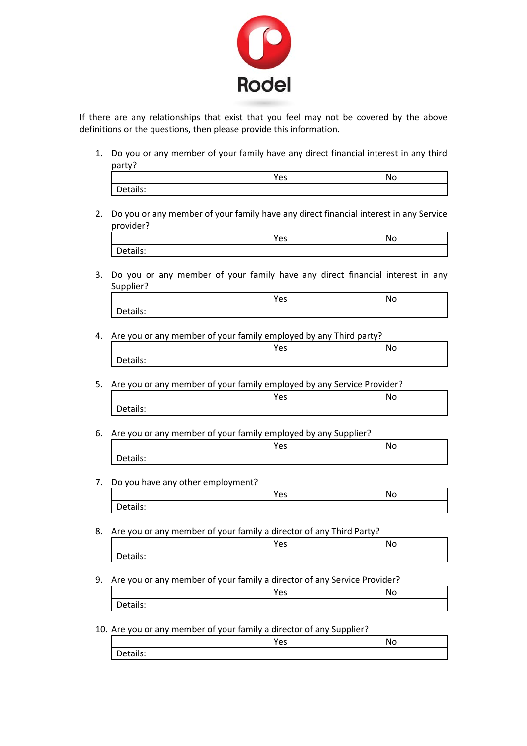

If there are any relationships that exist that you feel may not be covered by the above definitions or the questions, then please provide this information.

1. Do you or any member of your family have any direct financial interest in any third party?

|                        | ء ۾<br>ັ | NС |
|------------------------|----------|----|
| tails:<br>DΑ<br>້<br>- |          |    |

2. Do you or any member of your family have any direct financial interest in any Service provider?

|                            | $\alpha$<br>င၁ | N. |
|----------------------------|----------------|----|
| etails:<br>$+10^{+-}$<br>- |                |    |

3. Do you or any member of your family have any direct financial interest in any Supplier?

|          | Yes | No |
|----------|-----|----|
| Details: |     |    |

4. Are you or any member of your family employed by any Third party?

|          | Voc.<br>င၁ | Nс |
|----------|------------|----|
| Details: |            |    |

5. Are you or any member of your family employed by any Service Provider?

|   | $\rightarrow$<br>ັ | Ν |
|---|--------------------|---|
| . |                    |   |

6. Are you or any member of your family employed by any Supplier?

|                                          | $\alpha$ c<br>ີ | N٥ |
|------------------------------------------|-----------------|----|
| $\cdot$ $\cdot$ $\cdot$<br>-<br>Details: |                 |    |

### 7. Do you have any other employment?

|          | $\overline{\phantom{a}}$<br>ີ | NΟ |
|----------|-------------------------------|----|
| Details: |                               |    |

8. Are you or any member of your family a director of any Third Party?

|                                    | $\sqrt{\alpha}$<br>ີ | Nο |
|------------------------------------|----------------------|----|
| $\overline{\phantom{0}}$<br>tails: |                      |    |

9. Are you or any member of your family a director of any Service Provider?

|          | $\sim$<br>ີ | w |
|----------|-------------|---|
| Details: |             |   |

10. Are you or any member of your family a director of any Supplier?

|                         | $V_{AC}$<br>င၁ | No |
|-------------------------|----------------|----|
| etails:<br>$\sim$<br>υc |                |    |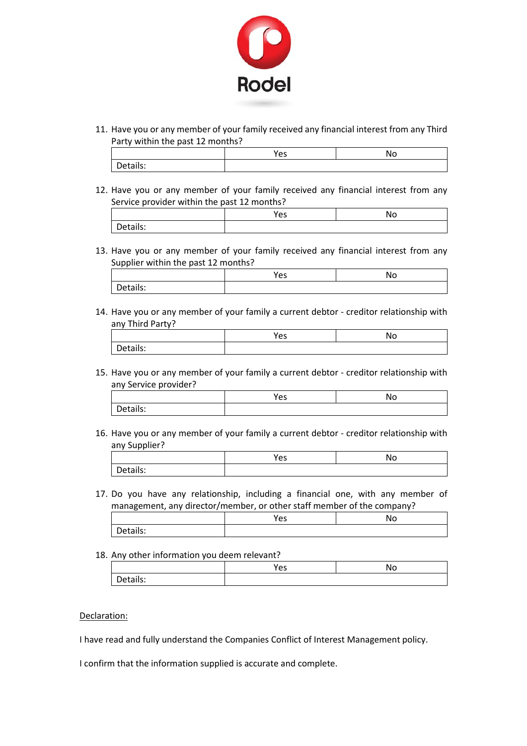

11. Have you or any member of your family received any financial interest from any Third Party within the past 12 months?

|             | ~~<br>ີ | N |
|-------------|---------|---|
| -<br>∶ails: |         |   |

12. Have you or any member of your family received any financial interest from any Service provider within the past 12 months?

|          | <b>Voc</b><br>င၁ | Νc |
|----------|------------------|----|
| Details: |                  |    |

13. Have you or any member of your family received any financial interest from any Supplier within the past 12 months?

|          | . .<br>د ب | ٦C |
|----------|------------|----|
| vetalls. |            |    |

14. Have you or any member of your family a current debtor - creditor relationship with any Third Party?

| ີ | 'N |
|---|----|
|   |    |

15. Have you or any member of your family a current debtor - creditor relationship with any Service provider?

|          | $\sim$ $\sim$<br>ີ | No |
|----------|--------------------|----|
| Details: |                    |    |

16. Have you or any member of your family a current debtor - creditor relationship with any Supplier?

|             | ີ |  |
|-------------|---|--|
| ------<br>- |   |  |

17. Do you have any relationship, including a financial one, with any member of management, any director/member, or other staff member of the company?

|              | ັ |  |
|--------------|---|--|
| -14<br><br>້ |   |  |

18. Any other information you deem relevant?

|          | Voc<br>כ־ | No |
|----------|-----------|----|
| Details: |           |    |

### Declaration:

I have read and fully understand the Companies Conflict of Interest Management policy.

I confirm that the information supplied is accurate and complete.